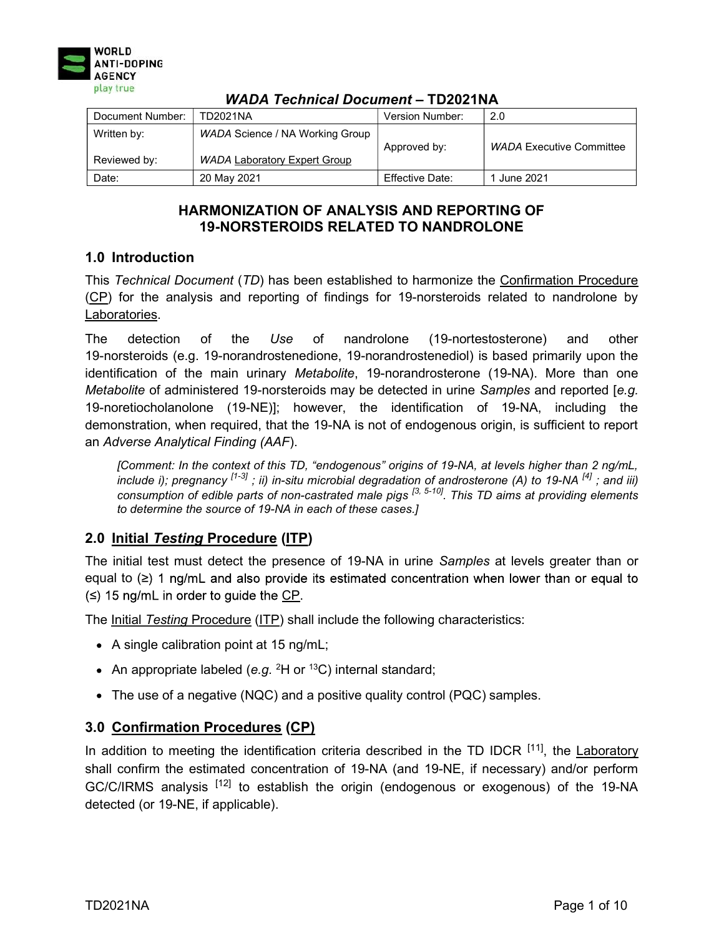

| Document Number:            | TD2021NA                                                               | Version Number: | 2.0                             |
|-----------------------------|------------------------------------------------------------------------|-----------------|---------------------------------|
| Written by:<br>Reviewed by: | WADA Science / NA Working Group<br><b>WADA Laboratory Expert Group</b> | Approved by:    | <b>WADA Executive Committee</b> |
| Date:                       | 20 May 2021                                                            | Effective Date: | 1 June 2021                     |

# HARMONIZATION OF ANALYSIS AND REPORTING OF 19-NORSTEROIDS RELATED TO NANDROLONE

# 1.0 Introduction

This Technical Document (TD) has been established to harmonize the Confirmation Procedure (CP) for the analysis and reporting of findings for 19-norsteroids related to nandrolone by Laboratories.

The detection of the Use of nandrolone (19-nortestosterone) and other 19-norsteroids (e.g. 19-norandrostenedione, 19-norandrostenediol) is based primarily upon the identification of the main urinary Metabolite, 19-norandrosterone (19-NA). More than one Metabolite of administered 19-norsteroids may be detected in urine Samples and reported [e.g. 19-noretiocholanolone (19-NE)]; however, the identification of 19-NA, including the demonstration, when required, that the 19-NA is not of endogenous origin, is sufficient to report an Adverse Analytical Finding (AAF).

[Comment: In the context of this TD, "endogenous" origins of 19-NA, at levels higher than 2 ng/mL, include i); pregnancy <sup>[1-3]</sup> ; ii) in-situ microbial degradation of androsterone (A) to 19-NA <sup>[4]</sup> ; and iii) consumption of edible parts of non-castrated male pigs <sup>[3, 5-10]</sup>. This TD aims at providing elements to determine the source of 19-NA in each of these cases.]

# 2.0 Initial Testing Procedure (ITP)

The initial test must detect the presence of 19-NA in urine Samples at levels greater than or equal to  $(\ge)$  1 ng/mL and also provide its estimated concentration when lower than or equal to  $(\le)$  15 ng/mL in order to guide the CP.

The Initial Testing Procedure (ITP) shall include the following characteristics:

- A single calibration point at 15 ng/mL;
- An appropriate labeled (e.g.  ${}^{2}$ H or  ${}^{13}$ C) internal standard;
- The use of a negative (NQC) and a positive quality control (PQC) samples.

## 3.0 Confirmation Procedures (CP)

In addition to meeting the identification criteria described in the TD IDCR  $[11]$ , the Laboratory shall confirm the estimated concentration of 19-NA (and 19-NE, if necessary) and/or perform GC/C/IRMS analysis <sup>[12]</sup> to establish the origin (endogenous or exogenous) of the 19-NA detected (or 19-NE, if applicable).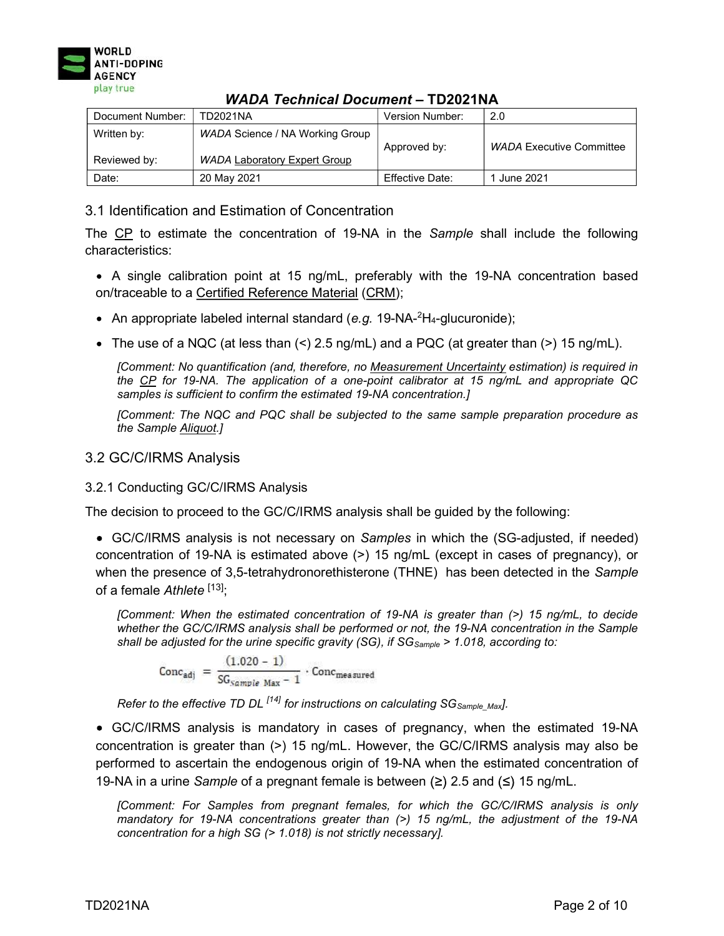

| 11ABA TUUNNUU BUUUNTUN<br>. <del>.</del> |                                                                        |                 |                                 |
|------------------------------------------|------------------------------------------------------------------------|-----------------|---------------------------------|
| Document Number:                         | TD2021NA                                                               | Version Number: | 2.0                             |
| Written by:<br>Reviewed by:              | WADA Science / NA Working Group<br><b>WADA Laboratory Expert Group</b> | Approved by:    | <b>WADA Executive Committee</b> |
| Date:                                    | 20 May 2021                                                            | Effective Date: | 1 June 2021                     |

## 3.1 Identification and Estimation of Concentration

The CP to estimate the concentration of 19-NA in the Sample shall include the following characteristics:

- A single calibration point at 15 ng/mL, preferably with the 19-NA concentration based on/traceable to a Certified Reference Material (CRM);
- An appropriate labeled internal standard (e.g. 19-NA- $^{2}H_{4}$ -glucuronide);
- The use of a NQC (at less than  $\leq$ ) 2.5 ng/mL) and a PQC (at greater than  $\leq$ ) 15 ng/mL).

[Comment: No quantification (and, therefore, no Measurement Uncertainty estimation) is required in the CP for 19-NA. The application of a one-point calibrator at 15 ng/mL and appropriate QC samples is sufficient to confirm the estimated 19-NA concentration.]

[Comment: The NQC and PQC shall be subjected to the same sample preparation procedure as the Sample Aliquot.]

### 3.2 GC/C/IRMS Analysis

#### 3.2.1 Conducting GC/C/IRMS Analysis

The decision to proceed to the GC/C/IRMS analysis shall be guided by the following:

• GC/C/IRMS analysis is not necessary on Samples in which the (SG-adjusted, if needed) concentration of 19-NA is estimated above (>) 15 ng/mL (except in cases of pregnancy), or when the presence of 3,5-tetrahydronorethisterone (THNE) has been detected in the Sample of a female  $A$ thlete  $[13]$ ;

[Comment: When the estimated concentration of 19-NA is greater than (>) 15 ng/mL, to decide whether the GC/C/IRMS analysis shall be performed or not, the 19-NA concentration in the Sample shall be adjusted for the urine specific gravity (SG), if  $SG_{Sample} > 1.018$ , according to:

$$
\text{Conc}_{\text{adj}} = \frac{(1.020 - 1)}{\text{SG}_{\text{sample Max}} - 1} \cdot \text{Conc}_{\text{measured}}
$$

Refer to the effective TD DL  $^{[14]}$  for instructions on calculating SG<sub>Sample</sub> Maxl.

GC/C/IRMS analysis is mandatory in cases of pregnancy, when the estimated 19-NA concentration is greater than (>) 15 ng/mL. However, the GC/C/IRMS analysis may also be performed to ascertain the endogenous origin of 19-NA when the estimated concentration of 19-NA in a urine Sample of a pregnant female is between  $(\ge)$  2.5 and  $(\le)$  15 ng/mL.

[Comment: For Samples from pregnant females, for which the GC/C/IRMS analysis is only mandatory for 19-NA concentrations greater than  $(>)$  15 ng/mL, the adjustment of the 19-NA concentration for a high SG (> 1.018) is not strictly necessary].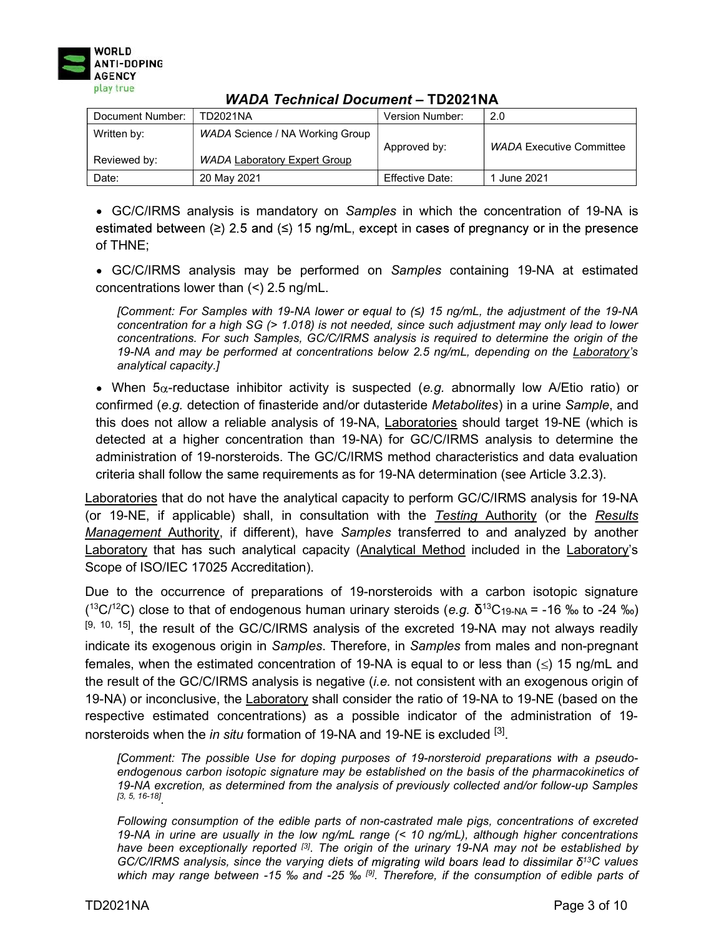

| Document Number:            | TD2021NA                                                               | Version Number: | 2.0                             |
|-----------------------------|------------------------------------------------------------------------|-----------------|---------------------------------|
| Written by:<br>Reviewed by: | WADA Science / NA Working Group<br><b>WADA Laboratory Expert Group</b> | Approved by:    | <b>WADA Executive Committee</b> |
| Date:                       | 20 May 2021                                                            | Effective Date: | June 2021                       |

• GC/C/IRMS analysis is mandatory on Samples in which the concentration of 19-NA is estimated between ( $\geq$ ) 2.5 and ( $\leq$ ) 15 ng/mL, except in cases of pregnancy or in the presence of THNE;

GC/C/IRMS analysis may be performed on Samples containing 19-NA at estimated concentrations lower than (<) 2.5 ng/mL.

[Comment: For Samples with 19-NA lower or equal to  $(≤)$  15 ng/mL, the adjustment of the 19-NA concentration for a high SG (> 1.018) is not needed, since such adjustment may only lead to lower concentrations. For such Samples, GC/C/IRMS analysis is required to determine the origin of the 19-NA and may be performed at concentrations below 2.5 ng/mL, depending on the Laboratory's analytical capacity.]

• When  $5\alpha$ -reductase inhibitor activity is suspected (e.g. abnormally low A/Etio ratio) or confirmed (e.g. detection of finasteride and/or dutasteride Metabolites) in a urine Sample, and this does not allow a reliable analysis of 19-NA, Laboratories should target 19-NE (which is detected at a higher concentration than 19-NA) for GC/C/IRMS analysis to determine the administration of 19-norsteroids. The GC/C/IRMS method characteristics and data evaluation criteria shall follow the same requirements as for 19-NA determination (see Article 3.2.3).

Laboratories that do not have the analytical capacity to perform GC/C/IRMS analysis for 19-NA (or 19-NE, if applicable) shall, in consultation with the Testing Authority (or the Results Management Authority, if different), have Samples transferred to and analyzed by another Laboratory that has such analytical capacity (Analytical Method included in the Laboratory's Scope of ISO/IEC 17025 Accreditation).

Due to the occurrence of preparations of 19-norsteroids with a carbon isotopic signature ( ${}^{13}C/{}^{12}C$ ) close to that of endogenous human urinary steroids (e.g.  $\delta {}^{13}C$ 19-NA = -16 ‰ to -24 ‰)  $[9, 10, 15]$ , the result of the GC/C/IRMS analysis of the excreted 19-NA may not always readily indicate its exogenous origin in Samples. Therefore, in Samples from males and non-pregnant females, when the estimated concentration of 19-NA is equal to or less than  $(\le)$  15 ng/mL and the result of the GC/C/IRMS analysis is negative (i.e. not consistent with an exogenous origin of 19-NA) or inconclusive, the Laboratory shall consider the ratio of 19-NA to 19-NE (based on the respective estimated concentrations) as a possible indicator of the administration of 19 norsteroids when the *in situ* formation of 19-NA and 19-NE is excluded <sup>[3]</sup>.

[Comment: The possible Use for doping purposes of 19-norsteroid preparations with a pseudoendogenous carbon isotopic signature may be established on the basis of the pharmacokinetics of 19-NA excretion, as determined from the analysis of previously collected and/or follow-up Samples [3, 5, 16-18] .

Following consumption of the edible parts of non-castrated male pigs, concentrations of excreted 19-NA in urine are usually in the low ng/mL range (< 10 ng/mL), although higher concentrations have been exceptionally reported [3]. The origin of the urinary 19-NA may not be established by GC/C/IRMS analysis, since the varying diets of migrating wild boars lead to dissimilar  $\delta^{13}$ C values which may range between -15 ‰ and -25 ‰ [9]. Therefore, if the consumption of edible parts of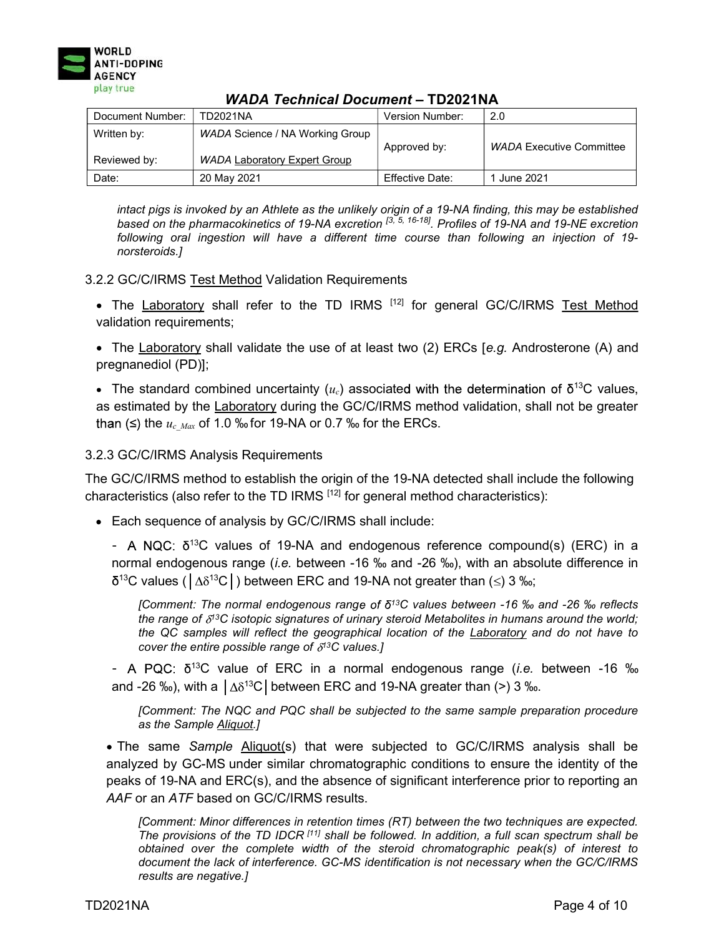

| Document Number:            | TD2021NA                                                               | Version Number: | 2.0                             |
|-----------------------------|------------------------------------------------------------------------|-----------------|---------------------------------|
| Written by:<br>Reviewed by: | WADA Science / NA Working Group<br><b>WADA Laboratory Expert Group</b> | Approved by:    | <b>WADA Executive Committee</b> |
| Date:                       | 20 May 2021                                                            | Effective Date: | 1 June 2021                     |

intact pigs is invoked by an Athlete as the unlikely origin of a 19-NA finding, this may be established based on the pharmacokinetics of 19-NA excretion <sup>[3, 5, 16-18]</sup>. Profiles of 19-NA and 19-NE excretion following oral ingestion will have a different time course than following an injection of 19 norsteroids.]

#### 3.2.2 GC/C/IRMS Test Method Validation Requirements

- The Laboratory shall refer to the TD IRMS [12] for general GC/C/IRMS Test Method validation requirements;
- The Laboratory shall validate the use of at least two (2) ERCs [e.g. Androsterone (A) and pregnanediol (PD)];
- The standard combined uncertainty ( $u_c$ ) associated with the determination of  $\delta^{13}C$  values, as estimated by the Laboratory during the GC/C/IRMS method validation, shall not be greater than ( $\leq$ ) the  $u_c$  <sub>Max</sub> of 1.0 ‰ for 19-NA or 0.7 ‰ for the ERCs.

### 3.2.3 GC/C/IRMS Analysis Requirements

The GC/C/IRMS method to establish the origin of the 19-NA detected shall include the following characteristics (also refer to the TD IRMS  $[12]$  for general method characteristics):

Each sequence of analysis by GC/C/IRMS shall include:

- A NQC:  $\delta^{13}$ C values of 19-NA and endogenous reference compound(s) (ERC) in a normal endogenous range (i.e. between -16 ‰ and -26 ‰), with an absolute difference in  $5^{13}$ C values ( $\lfloor \Delta \delta^{13}$ C $\rfloor$ ) between ERC and 19-NA not greater than ( $\leq$ ) 3 ‰;

[Comment: The normal endogenous range of  $\delta^{13}$ C values between -16 ‰ and -26 ‰ reflects the range of  $\delta^{13}C$  isotopic signatures of urinary steroid Metabolites in humans around the world; the QC samples will reflect the geographical location of the Laboratory and do not have to cover the entire possible range of  $\delta^{13}$ C values.]

- A PQC:  $\delta^{13}$ C value of ERC in a normal endogenous range (*i.e.* between -16 ‰ and -26 ‰), with a  $\vert \Delta \delta^{13}C \vert$  between ERC and 19-NA greater than (>) 3 ‰.

[Comment: The NQC and PQC shall be subjected to the same sample preparation procedure as the Sample Aliquot.]

• The same Sample Aliquot(s) that were subjected to GC/C/IRMS analysis shall be analyzed by GC-MS under similar chromatographic conditions to ensure the identity of the peaks of 19-NA and ERC(s), and the absence of significant interference prior to reporting an AAF or an ATF based on GC/C/IRMS results.

[Comment: Minor differences in retention times (RT) between the two techniques are expected. The provisions of the TD IDCR  $[11]$  shall be followed. In addition, a full scan spectrum shall be obtained over the complete width of the steroid chromatographic peak(s) of interest to document the lack of interference. GC-MS identification is not necessary when the GC/C/IRMS results are negative.]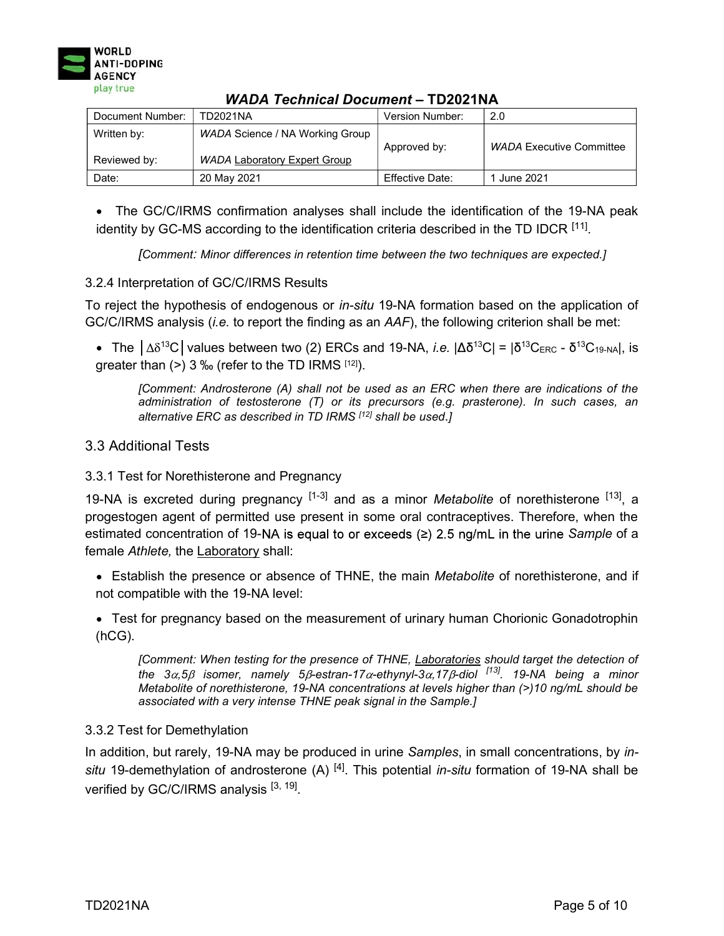

| Document Number:            | TD2021NA                                                               | Version Number: | 2.0                             |
|-----------------------------|------------------------------------------------------------------------|-----------------|---------------------------------|
| Written by:<br>Reviewed by: | WADA Science / NA Working Group<br><b>WADA Laboratory Expert Group</b> | Approved by:    | <b>WADA Executive Committee</b> |
| Date:                       | 20 May 2021                                                            | Effective Date: | 1 June 2021                     |

The GC/C/IRMS confirmation analyses shall include the identification of the 19-NA peak identity by GC-MS according to the identification criteria described in the TD IDCR <sup>[11]</sup>.

[Comment: Minor differences in retention time between the two techniques are expected.]

#### 3.2.4 Interpretation of GC/C/IRMS Results

To reject the hypothesis of endogenous or in-situ 19-NA formation based on the application of GC/C/IRMS analysis (i.e. to report the finding as an AAF), the following criterion shall be met:

The  $|\Delta\delta^{13}C|$  values between two (2) ERCs and 19-NA, *i.e.*  $|\Delta\delta^{13}C| = |\delta^{13}C_{\rm ERC} - \delta^{13}C_{19\text{-NA}}|$ , is greater than  $(>)$  3 ‰ (refer to the TD IRMS [12]).

[Comment: Androsterone (A) shall not be used as an ERC when there are indications of the administration of testosterone (T) or its precursors (e.g. prasterone). In such cases, an alternative ERC as described in TD IRMS [12] shall be used.]

### 3.3 Additional Tests

#### 3.3.1 Test for Norethisterone and Pregnancy

19-NA is excreted during pregnancy  $[1-3]$  and as a minor *Metabolite* of norethisterone  $[13]$ , a progestogen agent of permitted use present in some oral contraceptives. Therefore, when the estimated concentration of 19-NA is equal to or exceeds ( $\geq$ ) 2.5 ng/mL in the urine Sample of a female Athlete, the Laboratory shall:

- Establish the presence or absence of THNE, the main *Metabolite* of norethisterone, and if not compatible with the 19-NA level:
- Test for pregnancy based on the measurement of urinary human Chorionic Gonadotrophin (hCG).

[Comment: When testing for the presence of THNE, Laboratories should target the detection of the 3 $\alpha$ ,5 $\beta$  isomer, namely 5 $\beta$ -estran-17 $\alpha$ -ethynyl-3 $\alpha$ ,17 $\beta$ -diol <sup>[13]</sup>. 19-NA being a minor Metabolite of norethisterone, 19-NA concentrations at levels higher than (>)10 ng/mL should be associated with a very intense THNE peak signal in the Sample.]

#### 3.3.2 Test for Demethylation

In addition, but rarely, 19-NA may be produced in urine Samples, in small concentrations, by insitu 19-demethylation of androsterone (A)  $^{[4]}$ . This potential in-situ formation of 19-NA shall be verified by GC/C/IRMS analysis  $^{[3,\;19]}.$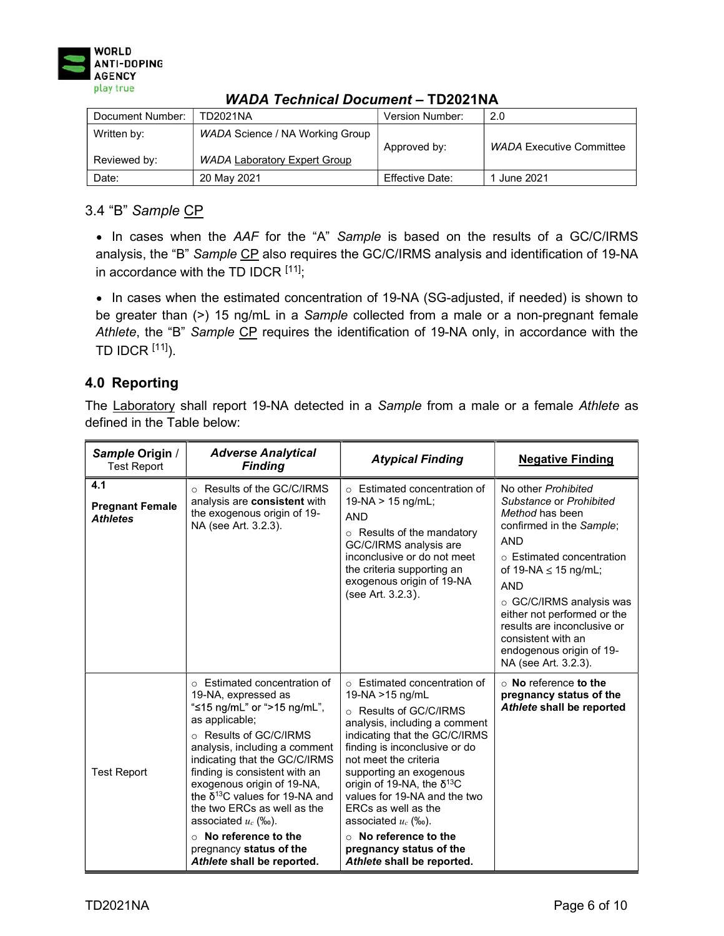

| Document Number:            | TD2021NA                                                               | Version Number: | 2.0                             |
|-----------------------------|------------------------------------------------------------------------|-----------------|---------------------------------|
| Written by:<br>Reviewed by: | WADA Science / NA Working Group<br><b>WADA Laboratory Expert Group</b> | Approved by:    | <b>WADA Executive Committee</b> |
| Date:                       | 20 May 2021                                                            | Effective Date: | June 2021                       |

## 3.4 "B" Sample CP

• In cases when the AAF for the "A" Sample is based on the results of a GC/C/IRMS analysis, the "B" Sample CP also requires the GC/C/IRMS analysis and identification of 19-NA in accordance with the TD IDCR [11];

• In cases when the estimated concentration of 19-NA (SG-adjusted, if needed) is shown to be greater than (>) 15 ng/mL in a Sample collected from a male or a non-pregnant female Athlete, the "B" Sample CP requires the identification of 19-NA only, in accordance with the TD IDCR  $[11]$ ).

# 4.0 Reporting

The Laboratory shall report 19-NA detected in a Sample from a male or a female Athlete as defined in the Table below:

| Sample Origin /<br><b>Test Report</b>            | <b>Adverse Analytical</b><br><b>Finding</b>                                                                                                                                                                                                                                                                                                                                                                                                                 | <b>Atypical Finding</b>                                                                                                                                                                                                                                                                                                                                                                                                                                | <b>Negative Finding</b>                                                                                                                                                                                                                                                                                                                                 |
|--------------------------------------------------|-------------------------------------------------------------------------------------------------------------------------------------------------------------------------------------------------------------------------------------------------------------------------------------------------------------------------------------------------------------------------------------------------------------------------------------------------------------|--------------------------------------------------------------------------------------------------------------------------------------------------------------------------------------------------------------------------------------------------------------------------------------------------------------------------------------------------------------------------------------------------------------------------------------------------------|---------------------------------------------------------------------------------------------------------------------------------------------------------------------------------------------------------------------------------------------------------------------------------------------------------------------------------------------------------|
| 4.1<br><b>Pregnant Female</b><br><b>Athletes</b> | ○ Results of the GC/C/IRMS<br>analysis are consistent with<br>the exogenous origin of 19-<br>NA (see Art. 3.2.3).                                                                                                                                                                                                                                                                                                                                           | $\circ$ Estimated concentration of<br>$19-NA > 15$ ng/mL;<br><b>AND</b><br>$\circ$ Results of the mandatory<br>GC/C/IRMS analysis are<br>inconclusive or do not meet<br>the criteria supporting an<br>exogenous origin of 19-NA<br>(see Art. 3.2.3).                                                                                                                                                                                                   | No other Prohibited<br>Substance or Prohibited<br>Method has been<br>confirmed in the Sample:<br><b>AND</b><br>○ Estimated concentration<br>of 19-NA $\leq$ 15 ng/mL;<br><b>AND</b><br>○ GC/C/IRMS analysis was<br>either not performed or the<br>results are inconclusive or<br>consistent with an<br>endogenous origin of 19-<br>NA (see Art. 3.2.3). |
| <b>Test Report</b>                               | $\circ$ Estimated concentration of<br>19-NA, expressed as<br>"≤15 ng/mL" or ">15 ng/mL",<br>as applicable:<br>○ Results of GC/C/IRMS<br>analysis, including a comment<br>indicating that the GC/C/IRMS<br>finding is consistent with an<br>exogenous origin of 19-NA,<br>the $δ^{13}C$ values for 19-NA and<br>the two ERCs as well as the<br>associated $u_c$ (‰).<br>$\circ$ No reference to the<br>pregnancy status of the<br>Athlete shall be reported. | $\circ$ Estimated concentration of<br>19-NA > 15 ng/mL<br>○ Results of GC/C/IRMS<br>analysis, including a comment<br>indicating that the GC/C/IRMS<br>finding is inconclusive or do<br>not meet the criteria<br>supporting an exogenous<br>origin of 19-NA, the $\delta^{13}C$<br>values for 19-NA and the two<br>ERCs as well as the<br>associated $u_c$ (‰).<br>$\circ$ No reference to the<br>pregnancy status of the<br>Athlete shall be reported. | $\circ$ No reference to the<br>pregnancy status of the<br>Athlete shall be reported                                                                                                                                                                                                                                                                     |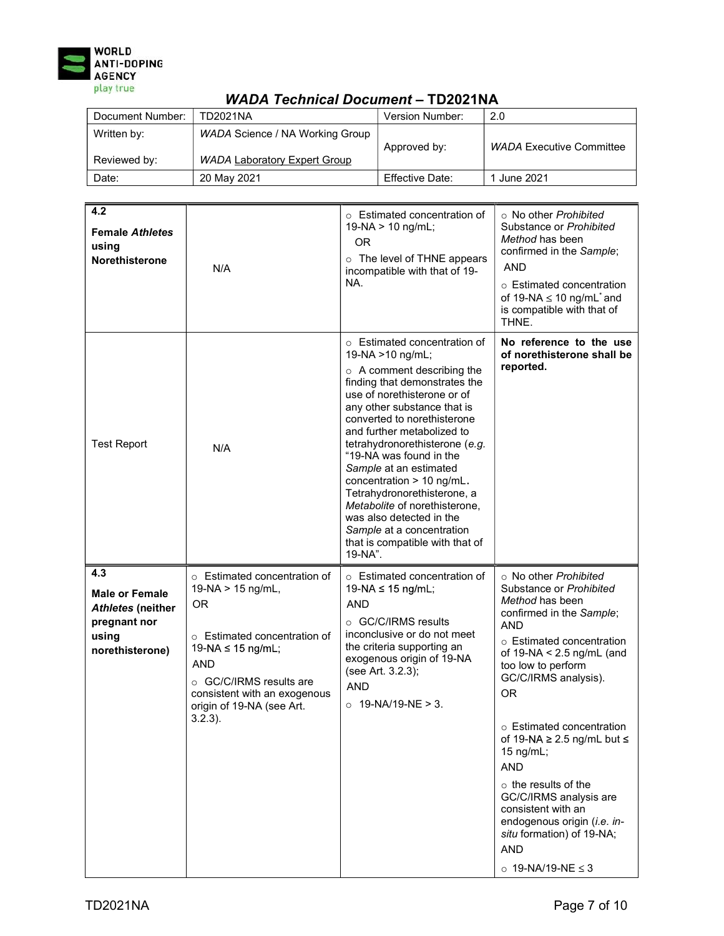

| $\bm{v}$ , $\bm{v}$ , $\bm{v}$ , $\bm{v}$ , $\bm{v}$ , $\bm{v}$ , $\bm{v}$ , $\bm{v}$ , $\bm{v}$ , $\bm{v}$ , $\bm{v}$ , $\bm{v}$ |                                                                        |                        |                                 |
|-----------------------------------------------------------------------------------------------------------------------------------|------------------------------------------------------------------------|------------------------|---------------------------------|
| Document Number:                                                                                                                  | TD2021NA                                                               | <b>Version Number:</b> | 2.0                             |
| Written by:<br>Reviewed by:                                                                                                       | WADA Science / NA Working Group<br><b>WADA Laboratory Expert Group</b> | Approved by:           | <b>WADA Executive Committee</b> |
| Date:                                                                                                                             | 20 May 2021                                                            | Effective Date:        | 1 June 2021                     |

| 4.2<br><b>Female Athletes</b><br>using<br><b>Norethisterone</b>                                      | N/A                                                                                                                                                                                                                                     | $\circ$ Estimated concentration of<br>$19-NA > 10$ ng/mL;<br><b>OR</b><br>o The level of THNE appears<br>incompatible with that of 19-<br>NA.                                                                                                                                                                                                                                                                                                                                                                                                  | $\circ$ No other Prohibited<br>Substance or Prohibited<br>Method has been<br>confirmed in the Sample;<br>AND<br>○ Estimated concentration<br>of 19-NA $\leq$ 10 ng/mL $^*$ and<br>is compatible with that of<br>THNE.                                                                                                                                                                                                                                                                                                                |
|------------------------------------------------------------------------------------------------------|-----------------------------------------------------------------------------------------------------------------------------------------------------------------------------------------------------------------------------------------|------------------------------------------------------------------------------------------------------------------------------------------------------------------------------------------------------------------------------------------------------------------------------------------------------------------------------------------------------------------------------------------------------------------------------------------------------------------------------------------------------------------------------------------------|--------------------------------------------------------------------------------------------------------------------------------------------------------------------------------------------------------------------------------------------------------------------------------------------------------------------------------------------------------------------------------------------------------------------------------------------------------------------------------------------------------------------------------------|
| <b>Test Report</b>                                                                                   | N/A                                                                                                                                                                                                                                     | ○ Estimated concentration of<br>19-NA > 10 ng/mL;<br>$\circ$ A comment describing the<br>finding that demonstrates the<br>use of norethisterone or of<br>any other substance that is<br>converted to norethisterone<br>and further metabolized to<br>tetrahydronorethisterone (e.g.<br>"19-NA was found in the<br>Sample at an estimated<br>concentration $> 10$ ng/mL.<br>Tetrahydronorethisterone, a<br>Metabolite of norethisterone,<br>was also detected in the<br>Sample at a concentration<br>that is compatible with that of<br>19-NA". | No reference to the use<br>of norethisterone shall be<br>reported.                                                                                                                                                                                                                                                                                                                                                                                                                                                                   |
| 4.3<br><b>Male or Female</b><br><b>Athletes (neither</b><br>pregnant nor<br>using<br>norethisterone) | o Estimated concentration of<br>19-NA > 15 ng/mL,<br><b>OR</b><br>○ Estimated concentration of<br>19-NA ≤ 15 ng/mL;<br><b>AND</b><br>○ GC/C/IRMS results are<br>consistent with an exogenous<br>origin of 19-NA (see Art.<br>$3.2.3$ ). | ○ Estimated concentration of<br>19-NA ≤ 15 ng/mL;<br><b>AND</b><br>○ GC/C/IRMS results<br>inconclusive or do not meet<br>the criteria supporting an<br>exogenous origin of 19-NA<br>(see Art. 3.2.3);<br><b>AND</b><br>$\circ$ 19-NA/19-NE > 3.                                                                                                                                                                                                                                                                                                | ○ No other Prohibited<br>Substance or Prohibited<br>Method has been<br>confirmed in the Sample;<br><b>AND</b><br>○ Estimated concentration<br>of $19-NA < 2.5$ ng/mL (and<br>too low to perform<br>GC/C/IRMS analysis).<br><b>OR</b><br>$\circ$ Estimated concentration<br>of 19-NA $\geq$ 2.5 ng/mL but $\leq$<br>15 $ng/mL;$<br><b>AND</b><br>$\circ$ the results of the<br>GC/C/IRMS analysis are<br>consistent with an<br>endogenous origin (i.e. in-<br>situ formation) of 19-NA;<br><b>AND</b><br>$\circ$ 19-NA/19-NE $\leq$ 3 |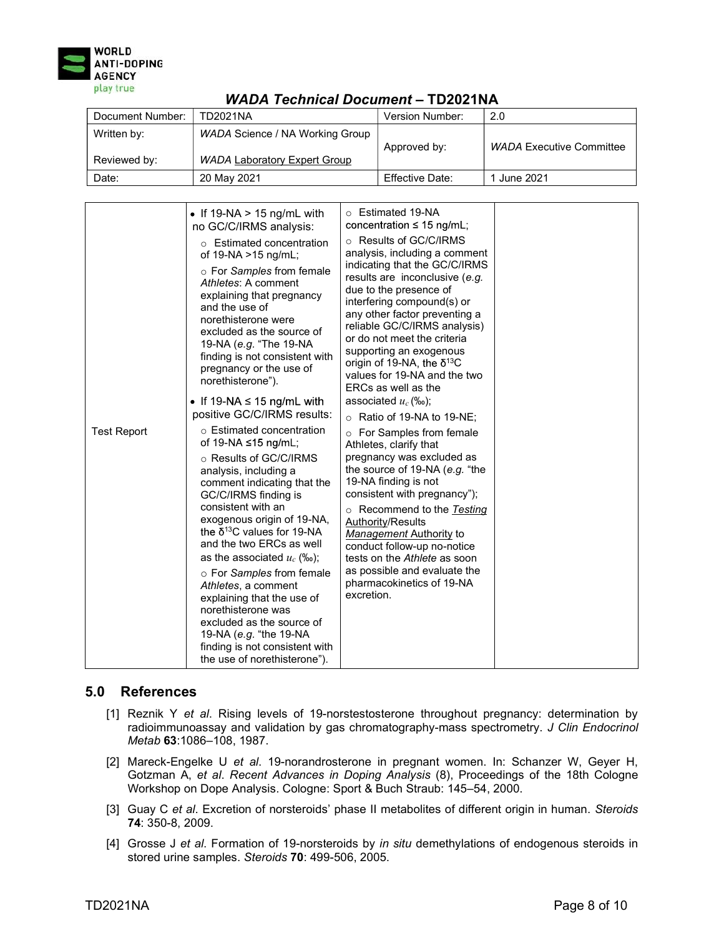

| 11ADA TCCMICOI DOCUMCIR = IDEVETIVA |                                                                        |                 |                          |
|-------------------------------------|------------------------------------------------------------------------|-----------------|--------------------------|
| Document Number:                    | TD2021NA                                                               | Version Number: | 2.0                      |
| Written by:<br>Reviewed by:         | WADA Science / NA Working Group<br><b>WADA Laboratory Expert Group</b> | Approved by:    | WADA Executive Committee |
| Date:                               | 20 May 2021                                                            | Effective Date: | 1 June 2021              |

|                    | • If $19-NA > 15$ ng/mL with<br>no GC/C/IRMS analysis:<br>$\circ$ Estimated concentration<br>of 19-NA >15 ng/mL;<br>○ For Samples from female<br>Athletes: A comment<br>explaining that pregnancy<br>and the use of<br>norethisterone were<br>excluded as the source of<br>19-NA (e.g. "The 19-NA<br>finding is not consistent with<br>pregnancy or the use of<br>norethisterone").<br>• If 19-NA $\leq$ 15 ng/mL with<br>positive GC/C/IRMS results:                                                                                               | ○ Estimated 19-NA<br>concentration $\leq 15$ ng/mL;<br>○ Results of GC/C/IRMS<br>analysis, including a comment<br>indicating that the GC/C/IRMS<br>results are inconclusive (e.g.<br>due to the presence of<br>interfering compound(s) or<br>any other factor preventing a<br>reliable GC/C/IRMS analysis)<br>or do not meet the criteria<br>supporting an exogenous<br>origin of 19-NA, the $\delta^{13}C$<br>values for 19-NA and the two<br>ERCs as well as the<br>associated $u_c$ (‰); |  |
|--------------------|-----------------------------------------------------------------------------------------------------------------------------------------------------------------------------------------------------------------------------------------------------------------------------------------------------------------------------------------------------------------------------------------------------------------------------------------------------------------------------------------------------------------------------------------------------|---------------------------------------------------------------------------------------------------------------------------------------------------------------------------------------------------------------------------------------------------------------------------------------------------------------------------------------------------------------------------------------------------------------------------------------------------------------------------------------------|--|
| <b>Test Report</b> | ○ Estimated concentration<br>of 19-NA ≤15 ng/mL;<br>○ Results of GC/C/IRMS<br>analysis, including a<br>comment indicating that the<br>GC/C/IRMS finding is<br>consistent with an<br>exogenous origin of 19-NA,<br>the $\delta^{13}$ C values for 19-NA<br>and the two ERCs as well<br>as the associated $u_c$ (‰);<br>○ For Samples from female<br>Athletes, a comment<br>explaining that the use of<br>norethisterone was<br>excluded as the source of<br>19-NA (e.g. "the 19-NA<br>finding is not consistent with<br>the use of norethisterone"). | Ratio of 19-NA to 19-NE;<br>For Samples from female<br>$\circ$<br>Athletes, clarify that<br>pregnancy was excluded as<br>the source of 19-NA (e.g. "the<br>19-NA finding is not<br>consistent with pregnancy");<br>Recommend to the Testing<br>Authority/Results<br>Management Authority to<br>conduct follow-up no-notice<br>tests on the Athlete as soon<br>as possible and evaluate the<br>pharmacokinetics of 19-NA<br>excretion.                                                       |  |

## 5.0 References

- [1] Reznik Y et al. Rising levels of 19-norstestosterone throughout pregnancy: determination by radioimmunoassay and validation by gas chromatography-mass spectrometry. J Clin Endocrinol Metab 63:1086–108, 1987.
- [2] Mareck-Engelke U et al. 19-norandrosterone in pregnant women. In: Schanzer W, Geyer H, Gotzman A, et al. Recent Advances in Doping Analysis (8), Proceedings of the 18th Cologne Workshop on Dope Analysis. Cologne: Sport & Buch Straub: 145–54, 2000.
- [3] Guay C et al. Excretion of norsteroids' phase II metabolites of different origin in human. Steroids 74: 350-8, 2009.
- [4] Grosse J et al. Formation of 19-norsteroids by in situ demethylations of endogenous steroids in stored urine samples. Steroids 70: 499-506, 2005.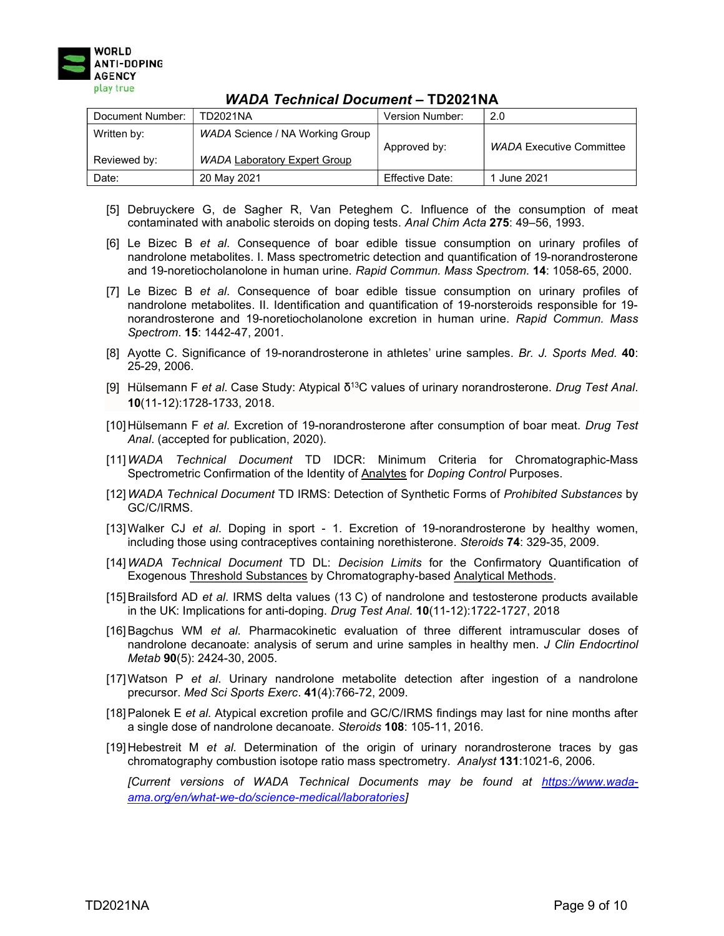

| Document Number:            | TD2021NA                                                               | Version Number: | 2.0                             |
|-----------------------------|------------------------------------------------------------------------|-----------------|---------------------------------|
| Written by:<br>Reviewed by: | WADA Science / NA Working Group<br><b>WADA Laboratory Expert Group</b> | Approved by:    | <b>WADA Executive Committee</b> |
| Date:                       | 20 May 2021                                                            | Effective Date: | 1 June 2021                     |

- [5] Debruyckere G, de Sagher R, Van Peteghem C. Influence of the consumption of meat contaminated with anabolic steroids on doping tests. Anal Chim Acta 275: 49–56, 1993.
- [6] Le Bizec B et al. Consequence of boar edible tissue consumption on urinary profiles of nandrolone metabolites. I. Mass spectrometric detection and quantification of 19-norandrosterone and 19-noretiocholanolone in human urine. Rapid Commun. Mass Spectrom. 14: 1058-65, 2000.
- [7] Le Bizec B et al. Consequence of boar edible tissue consumption on urinary profiles of nandrolone metabolites. II. Identification and quantification of 19-norsteroids responsible for 19 norandrosterone and 19-noretiocholanolone excretion in human urine. Rapid Commun. Mass Spectrom. 15: 1442-47, 2001.
- [8] Ayotte C. Significance of 19-norandrosterone in athletes' urine samples. Br. J. Sports Med. 40: 25-29, 2006.
- [9] Hülsemann F et al. Case Study: Atypical  $\delta^{13}$ C values of urinary norandrosterone. Drug Test Anal. 10(11-12):1728-1733, 2018.
- [10] Hülsemann F et al. Excretion of 19-norandrosterone after consumption of boar meat. Drug Test Anal. (accepted for publication, 2020).
- [11]WADA Technical Document TD IDCR: Minimum Criteria for Chromatographic-Mass Spectrometric Confirmation of the Identity of **Analytes** for *Doping Control* Purposes.
- [12] WADA Technical Document TD IRMS: Detection of Synthetic Forms of Prohibited Substances by GC/C/IRMS.
- [13] Walker CJ et al. Doping in sport 1. Excretion of 19-norandrosterone by healthy women, including those using contraceptives containing norethisterone. Steroids 74: 329-35, 2009.
- [14]WADA Technical Document TD DL: Decision Limits for the Confirmatory Quantification of Exogenous Threshold Substances by Chromatography-based Analytical Methods.
- [15] Brailsford AD et al. IRMS delta values (13 C) of nandrolone and testosterone products available in the UK: Implications for anti-doping. Drug Test Anal. 10(11-12):1722-1727, 2018
- [16] Bagchus WM et al. Pharmacokinetic evaluation of three different intramuscular doses of nandrolone decanoate: analysis of serum and urine samples in healthy men. J Clin Endocrtinol Metab 90(5): 2424-30, 2005.
- [17] Watson P et al. Urinary nandrolone metabolite detection after ingestion of a nandrolone precursor. Med Sci Sports Exerc. 41(4):766-72, 2009.
- [18] Palonek E et al. Atypical excretion profile and GC/C/IRMS findings may last for nine months after a single dose of nandrolone decanoate. Steroids 108: 105-11, 2016.
- [19] Hebestreit M et al. Determination of the origin of urinary norandrosterone traces by gas chromatography combustion isotope ratio mass spectrometry. Analyst 131:1021-6, 2006.

[Current versions of WADA Technical Documents may be found at https://www.wadaama.org/en/what-we-do/science-medical/laboratories]